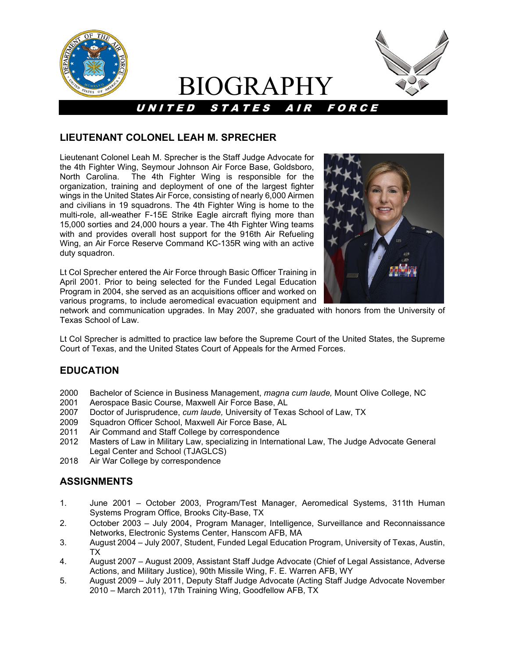

# BIOGRAPHY

UNITED STATES AIR FORCE



## **LIEUTENANT COLONEL LEAH M. SPRECHER**

Lieutenant Colonel Leah M. Sprecher is the Staff Judge Advocate for the 4th Fighter Wing, Seymour Johnson Air Force Base, Goldsboro, North Carolina. The 4th Fighter Wing is responsible for the organization, training and deployment of one of the largest fighter wings in the United States Air Force, consisting of nearly 6,000 Airmen and civilians in 19 squadrons. The 4th Fighter Wing is home to the multi-role, all-weather F-15E Strike Eagle aircraft flying more than 15,000 sorties and 24,000 hours a year. The 4th Fighter Wing teams with and provides overall host support for the 916th Air Refueling Wing, an Air Force Reserve Command KC-135R wing with an active duty squadron.

Lt Col Sprecher entered the Air Force through Basic Officer Training in April 2001. Prior to being selected for the Funded Legal Education Program in 2004, she served as an acquisitions officer and worked on various programs, to include aeromedical evacuation equipment and



network and communication upgrades. In May 2007, she graduated with honors from the University of Texas School of Law.

Lt Col Sprecher is admitted to practice law before the Supreme Court of the United States, the Supreme Court of Texas, and the United States Court of Appeals for the Armed Forces.

#### **EDUCATION**

- 2000 Bachelor of Science in Business Management, *magna cum laude,* Mount Olive College, NC
- Aerospace Basic Course, Maxwell Air Force Base, AL
- 2007 Doctor of Jurisprudence, *cum laude,* University of Texas School of Law, TX
- 2009 Squadron Officer School, Maxwell Air Force Base, AL
- 2011 Air Command and Staff College by correspondence
- 2012 Masters of Law in Military Law, specializing in International Law, The Judge Advocate General Legal Center and School (TJAGLCS)
- 2018 Air War College by correspondence

#### **ASSIGNMENTS**

- 1. June 2001 October 2003, Program/Test Manager, Aeromedical Systems, 311th Human Systems Program Office, Brooks City-Base, TX
- 2. October 2003 July 2004, Program Manager, Intelligence, Surveillance and Reconnaissance Networks, Electronic Systems Center, Hanscom AFB, MA
- 3. August 2004 July 2007, Student, Funded Legal Education Program, University of Texas, Austin, TX
- 4. August 2007 August 2009, Assistant Staff Judge Advocate (Chief of Legal Assistance, Adverse Actions, and Military Justice), 90th Missile Wing, F. E. Warren AFB, WY
- 5. August 2009 July 2011, Deputy Staff Judge Advocate (Acting Staff Judge Advocate November 2010 – March 2011), 17th Training Wing, Goodfellow AFB, TX